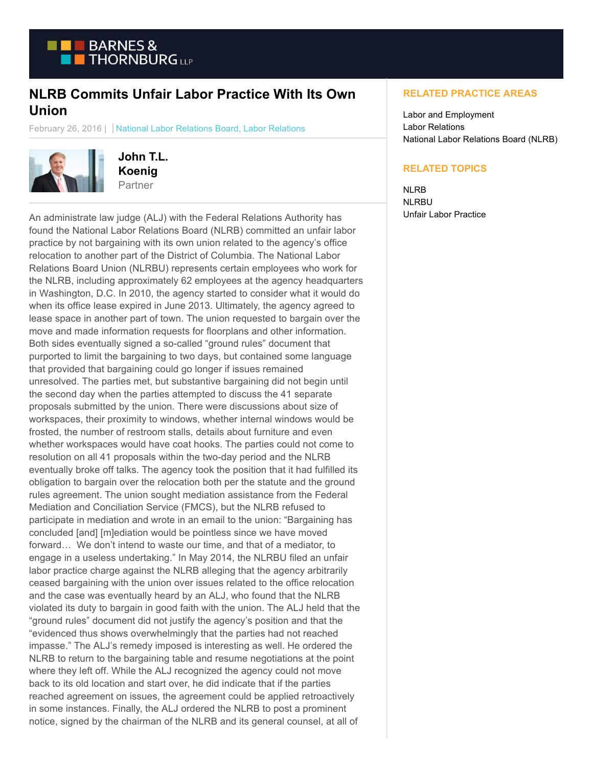

## **NLRB Commits Unfair Labor Practice With Its Own Union**

February 26, 2016 | National Labor Relations Board, Labor Relations



**John T.L. Koenig** Partner

An administrate law judge (ALJ) with the Federal Relations Authority has found the National Labor Relations Board (NLRB) committed an unfair labor practice by not bargaining with its own union related to the agency's office relocation to another part of the District of Columbia. The National Labor Relations Board Union (NLRBU) represents certain employees who work for the NLRB, including approximately 62 employees at the agency headquarters in Washington, D.C. In 2010, the agency started to consider what it would do when its office lease expired in June 2013. Ultimately, the agency agreed to lease space in another part of town. The union requested to bargain over the move and made information requests for floorplans and other information. Both sides eventually signed a so-called "ground rules" document that purported to limit the bargaining to two days, but contained some language that provided that bargaining could go longer if issues remained unresolved. The parties met, but substantive bargaining did not begin until the second day when the parties attempted to discuss the 41 separate proposals submitted by the union. There were discussions about size of workspaces, their proximity to windows, whether internal windows would be frosted, the number of restroom stalls, details about furniture and even whether workspaces would have coat hooks. The parties could not come to resolution on all 41 proposals within the two-day period and the NLRB eventually broke off talks. The agency took the position that it had fulfilled its obligation to bargain over the relocation both per the statute and the ground rules agreement. The union sought mediation assistance from the Federal Mediation and Conciliation Service (FMCS), but the NLRB refused to participate in mediation and wrote in an email to the union: "Bargaining has concluded [and] [m]ediation would be pointless since we have moved forward… We don't intend to waste our time, and that of a mediator, to engage in a useless undertaking." In May 2014, the NLRBU filed an unfair labor practice charge against the NLRB alleging that the agency arbitrarily ceased bargaining with the union over issues related to the office relocation and the case was eventually heard by an ALJ, who found that the NLRB violated its duty to bargain in good faith with the union. The ALJ held that the "ground rules" document did not justify the agency's position and that the "evidenced thus shows overwhelmingly that the parties had not reached impasse." The ALJ's remedy imposed is interesting as well. He ordered the NLRB to return to the bargaining table and resume negotiations at the point where they left off. While the ALJ recognized the agency could not move back to its old location and start over, he did indicate that if the parties reached agreement on issues, the agreement could be applied retroactively in some instances. Finally, the ALJ ordered the NLRB to post a prominent notice, signed by the chairman of the NLRB and its general counsel, at all of

## **RELATED PRACTICE AREAS**

Labor and Employment Labor Relations National Labor Relations Board (NLRB)

## **RELATED TOPICS**

NLRB **NLRBU** Unfair Labor Practice